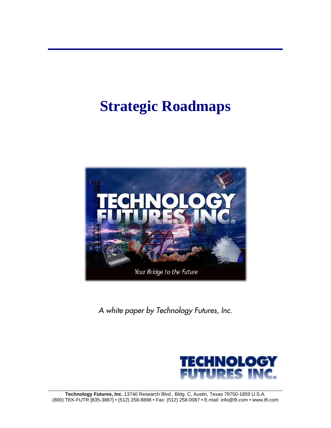# **Strategic Roadmaps**



*A white paper by Technology Futures, Inc.* 

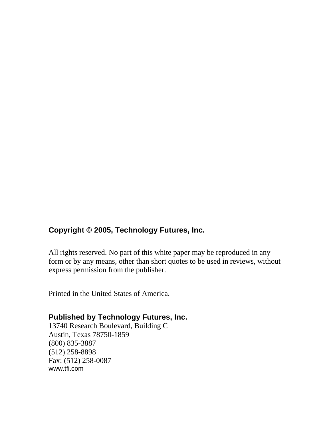### **Copyright © 2005, Technology Futures, Inc.**

All rights reserved. No part of this white paper may be reproduced in any form or by any means, other than short quotes to be used in reviews, without express permission from the publisher.

Printed in the United States of America.

#### **Published by Technology Futures, Inc.**

13740 Research Boulevard, Building C Austin, Texas 78750-1859 (800) 835-3887 (512) 258-8898 Fax: (512) 258-0087 www.tfi.com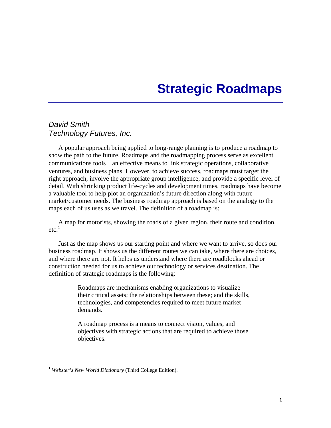## **Strategic Roadmaps**

#### *David Smith Technology Futures, Inc.*

A popular approach being applied to long-range planning is to produce a roadmap to show the path to the future. Roadmaps and the roadmapping process serve as excellent communications tools an effective means to link strategic operations, collaborative ventures, and business plans. However, to achieve success, roadmaps must target the right approach, involve the appropriate group intelligence, and provide a specific level of detail. With shrinking product life-cycles and development times, roadmaps have become a valuable tool to help plot an organization's future direction along with future market/customer needs. The business roadmap approach is based on the analogy to the maps each of us uses as we travel. The definition of a roadmap is:

A map for motorists, showing the roads of a given region, their route and condition,  $etc<sup>1</sup>$ 

Just as the map shows us our starting point and where we want to arrive, so does our business roadmap. It shows us the different routes we can take, where there are choices, and where there are not. It helps us understand where there are roadblocks ahead or construction needed for us to achieve our technology or services destination. The definition of strategic roadmaps is the following:

> Roadmaps are mechanisms enabling organizations to visualize their critical assets; the relationships between these; and the skills, technologies, and competencies required to meet future market demands.

> A roadmap process is a means to connect vision, values, and objectives with strategic actions that are required to achieve those objectives.

 $\overline{a}$ 

<span id="page-2-0"></span><sup>1</sup> *Webster's New World Dictionary* (Third College Edition).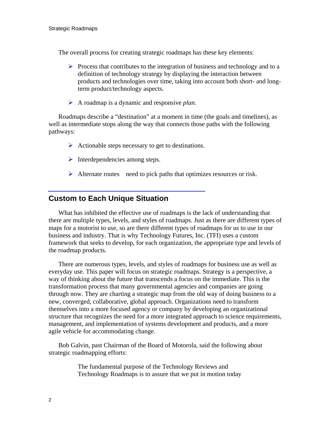The overall process for creating strategic roadmaps has these key elements:

- $\triangleright$  Process that contributes to the integration of business and technology and to a definition of technology strategy by displaying the interaction between products and technologies over time, taking into account both short- and longterm product/technology aspects.
- ¾ A roadmap is a dynamic and responsive *plan*.

Roadmaps describe a "destination" at a moment in time (the goals and timelines), as well as intermediate stops along the way that connects those paths with the following pathways:

- $\triangleright$  Actionable steps necessary to get to destinations.
- $\triangleright$  Interdependencies among steps.
- $\triangleright$  Alternate routes need to pick paths that optimizes resources or risk.

#### **Custom to Each Unique Situation**

What has inhibited the effective use of roadmaps is the lack of understanding that there are multiple types, levels, and styles of roadmaps. Just as there are different types of maps for a motorist to use, so are there different types of roadmaps for us to use in our business and industry. That is why Technology Futures, Inc. (TFI) uses a custom framework that seeks to develop, for each organization, the appropriate type and levels of the roadmap products.

There are numerous types, levels, and styles of roadmaps for business use as well as everyday use. This paper will focus on strategic roadmaps. Strategy is a perspective, a way of thinking about the future that transcends a focus on the immediate. This is the transformation process that many governmental agencies and companies are going through now. They are charting a strategic map from the old way of doing business to a new, converged, collaborative, global approach. Organizations need to transform themselves into a more focused agency or company by developing an organizational structure that recognizes the need for a more integrated approach to science requirements, management, and implementation of systems development and products, and a more agile vehicle for accommodating change.

Bob Galvin, past Chairman of the Board of Motorola, said the following about strategic roadmapping efforts:

> The fundamental purpose of the Technology Reviews and Technology Roadmaps is to assure that we put in motion today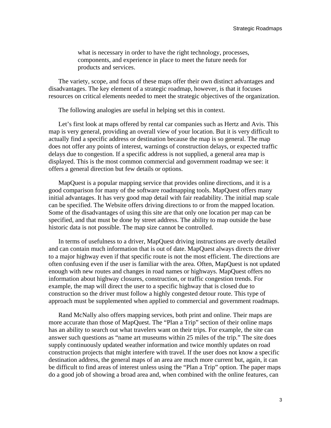what is necessary in order to have the right technology, processes, components, and experience in place to meet the future needs for products and services.

The variety, scope, and focus of these maps offer their own distinct advantages and disadvantages. The key element of a strategic roadmap, however, is that it focuses resources on critical elements needed to meet the strategic objectives of the organization.

The following analogies are useful in helping set this in context.

Let's first look at maps offered by rental car companies such as Hertz and Avis. This map is very general, providing an overall view of your location. But it is very difficult to actually find a specific address or destination because the map is so general. The map does not offer any points of interest, warnings of construction delays, or expected traffic delays due to congestion. If a specific address is not supplied, a general area map is displayed. This is the most common commercial and government roadmap we see: it offers a general direction but few details or options.

MapQuest is a popular mapping service that provides online directions, and it is a good comparison for many of the software roadmapping tools. MapQuest offers many initial advantages. It has very good map detail with fair readability. The initial map scale can be specified. The Website offers driving directions to or from the mapped location. Some of the disadvantages of using this site are that only one location per map can be specified, and that must be done by street address. The ability to map outside the base historic data is not possible. The map size cannot be controlled.

In terms of usefulness to a driver, MapQuest driving instructions are overly detailed and can contain much information that is out of date. MapQuest always directs the driver to a major highway even if that specific route is not the most efficient. The directions are often confusing even if the user is familiar with the area. Often, MapQuest is not updated enough with new routes and changes in road names or highways. MapQuest offers no information about highway closures, construction, or traffic congestion trends. For example, the map will direct the user to a specific highway that is closed due to construction so the driver must follow a highly congested detour route. This type of approach must be supplemented when applied to commercial and government roadmaps.

Rand McNally also offers mapping services, both print and online. Their maps are more accurate than those of MapQuest. The "Plan a Trip" section of their online maps has an ability to search out what travelers want on their trips. For example, the site can answer such questions as "name art museums within 25 miles of the trip." The site does supply continuously updated weather information and twice monthly updates on road construction projects that might interfere with travel. If the user does not know a specific destination address, the general maps of an area are much more current but, again, it can be difficult to find areas of interest unless using the "Plan a Trip" option. The paper maps do a good job of showing a broad area and, when combined with the online features, can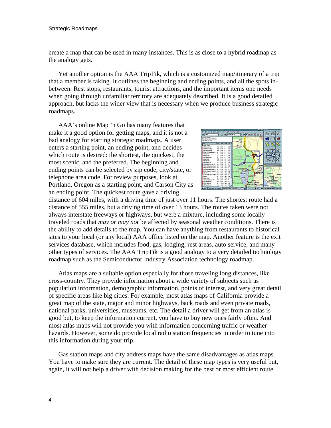create a map that can be used in many instances. This is as close to a hybrid roadmap as the analogy gets.

Yet another option is the AAA TripTik, which is a customized map/itinerary of a trip that a member is taking. It outlines the beginning and ending points, and all the spots inbetween. Rest stops, restaurants, tourist attractions, and the important items one needs when going through unfamiliar territory are adequately described. It is a good detailed approach, but lacks the wider view that is necessary when we produce business strategic roadmaps.

AAA's online Map 'n Go has many features that make it a good option for getting maps, and it is not a bad analogy for starting strategic roadmaps. A user enters a starting point, an ending point, and decides which route is desired: the shortest, the quickest, the most scenic, and the preferred. The beginning and ending points can be selected by zip code, city/state, or telephone area code. For review purposes, look at Portland, Oregon as a starting point, and Carson City as an ending point. The quickest route gave a driving



distance of 604 miles, with a driving time of just over 11 hours. The shortest route had a distance of 555 miles, but a driving time of over 13 hours. The routes taken were not always interstate freeways or highways, but were a mixture, including some locally traveled roads that *may or may not* be affected by seasonal weather conditions. There is the ability to add details to the map. You can have anything from restaurants to historical sites to your local (or any local) AAA office listed on the map. Another feature is the exit services database, which includes food, gas, lodging, rest areas, auto service, and many other types of services. The AAA TripTik is a good analogy to a very detailed technology roadmap such as the Semiconductor Industry Association technology roadmap.

Atlas maps are a suitable option especially for those traveling long distances, like cross-country. They provide information about a wide variety of subjects such as population information, demographic information, points of interest, and very great detail of specific areas like big cities. For example, most atlas maps of California provide a great map of the state, major and minor highways, back roads and even private roads, national parks, universities, museums, etc. The detail a driver will get from an atlas is good but, to keep the information current, you have to buy new ones fairly often. And most atlas maps will not provide you with information concerning traffic or weather hazards. However, some do provide local radio station frequencies in order to tune into this information during your trip.

Gas station maps and city address maps have the same disadvantages as atlas maps. You have to make sure they are current. The detail of these map types is very useful but, again, it will not help a driver with decision making for the best or most efficient route.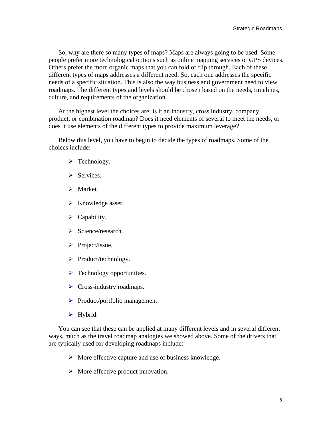So, why are there so many types of maps? Maps are always going to be used. Some people prefer more technological options such as online mapping services or GPS devices. Others prefer the more organic maps that you can fold or flip through. Each of these different types of maps addresses a different need. So, each one addresses the specific needs of a specific situation. This is also the way business and government need to view roadmaps. The different types and levels should be chosen based on the needs, timelines, culture, and requirements of the organization.

At the highest level the choices are: is it an industry, cross industry, company, product, or combination roadmap? Does it need elements of several to meet the needs, or does it use elements of the different types to provide maximum leverage?

Below this level, you have to begin to decide the types of roadmaps. Some of the choices include:

- $\blacktriangleright$  Technology.
- $\triangleright$  Services.
- $\triangleright$  Market.
- $\triangleright$  Knowledge asset.
- $\triangleright$  Capability.
- $\triangleright$  Science/research.
- $\triangleright$  Project/issue.
- ¾ Product/technology.
- $\triangleright$  Technology opportunities.
- $\triangleright$  Cross-industry roadmaps.
- $\triangleright$  Product/portfolio management.
- $\blacktriangleright$  Hybrid.

You can see that these can be applied at many different levels and in several different ways, much as the travel roadmap analogies we showed above. Some of the drivers that are typically used for developing roadmaps include:

- $\triangleright$  More effective capture and use of business knowledge.
- $\triangleright$  More effective product innovation.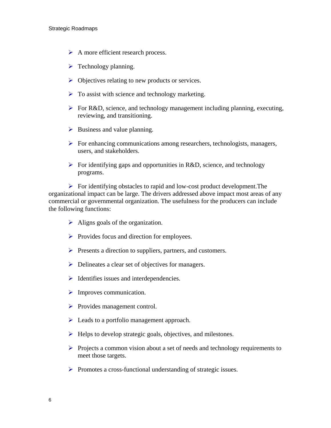- $\triangleright$  A more efficient research process.
- $\triangleright$  Technology planning.
- $\triangleright$  Objectives relating to new products or services.
- $\triangleright$  To assist with science and technology marketing.
- $\triangleright$  For R&D, science, and technology management including planning, executing, reviewing, and transitioning.
- $\triangleright$  Business and value planning.
- $\triangleright$  For enhancing communications among researchers, technologists, managers, users, and stakeholders.
- $\triangleright$  For identifying gaps and opportunities in R&D, science, and technology programs.

 $\triangleright$  For identifying obstacles to rapid and low-cost product development. The organizational impact can be large. The drivers addressed above impact most areas of any commercial or governmental organization. The usefulness for the producers can include the following functions:

- $\triangleright$  Aligns goals of the organization.
- $\triangleright$  Provides focus and direction for employees.
- $\triangleright$  Presents a direction to suppliers, partners, and customers.
- $\triangleright$  Delineates a clear set of objectives for managers.
- $\triangleright$  Identifies issues and interdependencies.
- $\triangleright$  Improves communication.
- $\triangleright$  Provides management control.
- $\triangleright$  Leads to a portfolio management approach.
- $\blacktriangleright$  Helps to develop strategic goals, objectives, and milestones.
- $\triangleright$  Projects a common vision about a set of needs and technology requirements to meet those targets.
- ¾ Promotes a cross-functional understanding of strategic issues.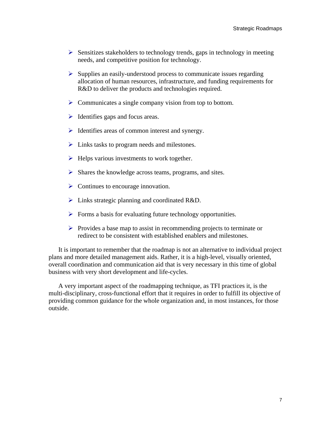- $\triangleright$  Sensitizes stakeholders to technology trends, gaps in technology in meeting needs, and competitive position for technology.
- $\triangleright$  Supplies an easily-understood process to communicate issues regarding allocation of human resources, infrastructure, and funding requirements for R&D to deliver the products and technologies required.
- $\triangleright$  Communicates a single company vision from top to bottom.
- $\triangleright$  Identifies gaps and focus areas.
- $\triangleright$  Identifies areas of common interest and synergy.
- $\triangleright$  Links tasks to program needs and milestones.
- $\triangleright$  Helps various investments to work together.
- $\triangleright$  Shares the knowledge across teams, programs, and sites.
- $\triangleright$  Continues to encourage innovation.
- $\triangleright$  Links strategic planning and coordinated R&D.
- $\triangleright$  Forms a basis for evaluating future technology opportunities.
- $\triangleright$  Provides a base map to assist in recommending projects to terminate or redirect to be consistent with established enablers and milestones.

It is important to remember that the roadmap is not an alternative to individual project plans and more detailed management aids. Rather, it is a high-level, visually oriented, overall coordination and communication aid that is very necessary in this time of global business with very short development and life-cycles.

A very important aspect of the roadmapping technique, as TFI practices it, is the multi-disciplinary, cross-functional effort that it requires in order to fulfill its objective of providing common guidance for the whole organization and, in most instances, for those outside.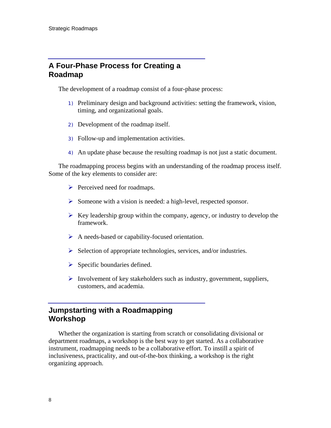#### **A Four-Phase Process for Creating a Roadmap**

The development of a roadmap consist of a four-phase process:

- 1) Preliminary design and background activities: setting the framework, vision, timing, and organizational goals.
- 2) Development of the roadmap itself.
- 3) Follow-up and implementation activities.
- 4) An update phase because the resulting roadmap is not just a static document.

The roadmapping process begins with an understanding of the roadmap process itself. Some of the key elements to consider are:

- $\triangleright$  Perceived need for roadmaps.
- ¾ Someone with a vision is needed: a high-level, respected sponsor.
- $\triangleright$  Key leadership group within the company, agency, or industry to develop the framework.
- $\triangleright$  A needs-based or capability-focused orientation.
- $\triangleright$  Selection of appropriate technologies, services, and/or industries.
- $\triangleright$  Specific boundaries defined.
- $\triangleright$  Involvement of key stakeholders such as industry, government, suppliers, customers, and academia.

#### **Jumpstarting with a Roadmapping Workshop**

Whether the organization is starting from scratch or consolidating divisional or department roadmaps, a workshop is the best way to get started. As a collaborative instrument, roadmapping needs to be a collaborative effort. To instill a spirit of inclusiveness, practicality, and out-of-the-box thinking, a workshop is the right organizing approach.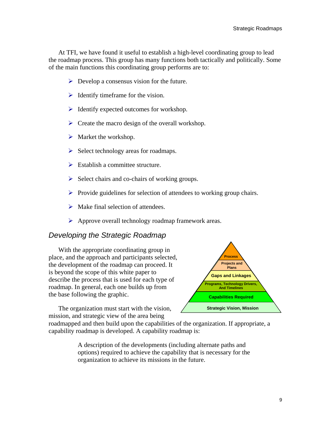At TFI, we have found it useful to establish a high-level coordinating group to lead the roadmap process. This group has many functions both tactically and politically. Some of the main functions this coordinating group performs are to:

- $\triangleright$  Develop a consensus vision for the future.
- $\triangleright$  Identify timeframe for the vision.
- $\triangleright$  Identify expected outcomes for workshop.
- $\triangleright$  Create the macro design of the overall workshop.
- $\triangleright$  Market the workshop.
- $\triangleright$  Select technology areas for roadmaps.
- $\triangleright$  Establish a committee structure.
- $\triangleright$  Select chairs and co-chairs of working groups.
- $\triangleright$  Provide guidelines for selection of attendees to working group chairs.
- $\triangleright$  Make final selection of attendees.
- $\triangleright$  Approve overall technology roadmap framework areas.

#### *Developing the Strategic Roadmap*

With the appropriate coordinating group in place, and the approach and participants s elected, the development of the roadmap can proceed. I t is beyond the scope of this white paper to describe the process that is used for each type of roadmap. In general, each one builds up from the base following the graphic.

The organization must start with the vision, mission, and strategic view of the area being



roadmapped and then build upon the capabilities of the organization. If appropriate, a capability roadmap is developed. A capability roadmap is:

> A description of the developments (including alternate paths and options) required to achieve the capability that is necessary for the organization to achieve its missions in the future.